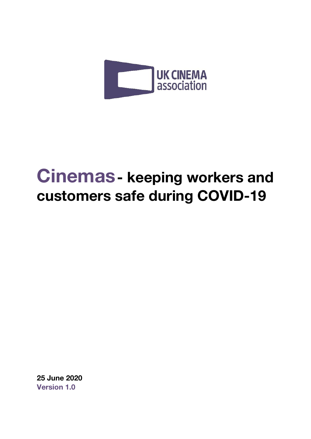

# **Cinemas- keeping workers and customers safe during COVID-19**

**25 June 2020 Version 1.0**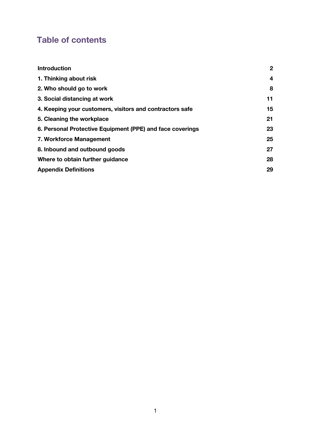# **Table of contents**

| <b>Introduction</b>                                       | $\boldsymbol{2}$ |
|-----------------------------------------------------------|------------------|
| 1. Thinking about risk                                    | 4                |
| 2. Who should go to work                                  | 8                |
| 3. Social distancing at work                              | 11               |
| 4. Keeping your customers, visitors and contractors safe  | 15               |
| 5. Cleaning the workplace                                 | 21               |
| 6. Personal Protective Equipment (PPE) and face coverings | 23               |
| 7. Workforce Management                                   | 25               |
| 8. Inbound and outbound goods                             | 27               |
| Where to obtain further guidance                          | 28               |
| <b>Appendix Definitions</b>                               | 29               |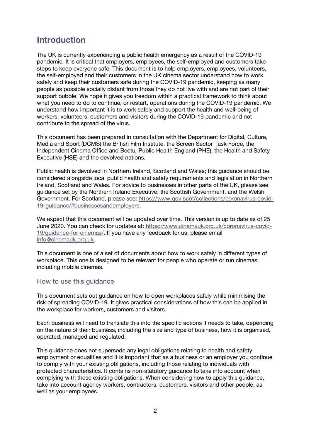# **Introduction**

The UK is currently experiencing a public health emergency as a result of the COVID-19 pandemic. It is critical that employers, employees, the self-employed and customers take steps to keep everyone safe. This document is to help employers, employees, volunteers, the self-employed and their customers in the UK cinema sector understand how to work safely and keep their customers safe during the COVID-19 pandemic, keeping as many people as possible socially distant from those they do not live with and are not part of their support bubble. We hope it gives you freedom within a practical framework to think about what you need to do to continue, or restart, operations during the COVID-19 pandemic. We understand how important it is to work safely and support the health and well-being of workers, volunteers, customers and visitors during the COVID-19 pandemic and not contribute to the spread of the virus.

This document has been prepared in consultation with the Department for Digital, Culture, Media and Sport (DCMS) the British Film Institute, the Screen Sector Task Force, the Independent Cinema Office and Bectu*,* Public Health England (PHE), the Health and Safety Executive (HSE) and the devolved nations.

Public health is devolved in Northern Ireland, Scotland and Wales; this guidance should be considered alongside local public health and safety requirements and legislation in Northern Ireland, Scotland and Wales. For advice to businesses in other parts of the UK, please see guidance set by the Northern Ireland Executive, the Scottish Government, and the Welsh Government. For Scotland, please see: https://www.gov.scot/collections/coronavirus-covid-19-guidance/#businessesandemployers.

We expect that this document will be updated over time. This version is up to date as of 25 June 2020. You can check for updates at: https://www.cinemauk.org.uk/coronavirus-covid-19/guidance-for-cinemas/. If you have any feedback for us, please email info@cinemauk.org.uk.

This document is one of a set of documents about how to work safely in different types of workplace. This one is designed to be relevant for people who operate or run cinemas, including mobile cinemas.

#### How to use this guidance

This document sets out guidance on how to open workplaces safely while minimising the risk of spreading COVID-19. It gives practical considerations of how this can be applied in the workplace for workers, customers and visitors.

Each business will need to translate this into the specific actions it needs to take, depending on the nature of their business, including the size and type of business, how it is organised, operated, managed and regulated.

This guidance does not supersede any legal obligations relating to health and safety, employment or equalities and it is important that as a business or an employer you continue to comply with your existing obligations, including those relating to individuals with protected characteristics. It contains non-statutory guidance to take into account when complying with these existing obligations. When considering how to apply this guidance, take into account agency workers, contractors, customers, visitors and other people, as well as your employees.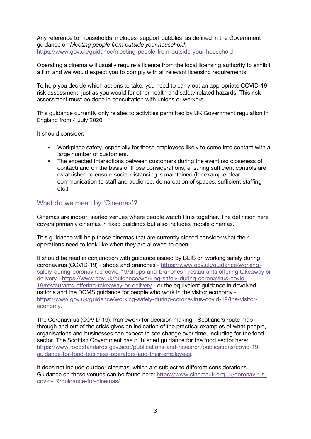Any reference to 'households' includes 'support bubbles' as defined in the Government guidance on *Meeting people from outside your household*: https://www.gov.uk/guidance/meeting-people-from-outside-your-household

Operating a cinema will usually require a licence from the local licensing authority to exhibit a film and we would expect you to comply with all relevant licensing requirements.

To help you decide which actions to take, you need to carry out an appropriate COVID-19 risk assessment, just as you would for other health and safety related hazards. This risk assessment must be done in consultation with unions or workers.

This guidance currently only relates to activities permitted by UK Government regulation in England from 4 July 2020.

It should consider:

- Workplace safety, especially for those employees likely to come into contact with a large number of customers.
- The expected interactions between customers during the event (so closeness of contact) and on the basis of those considerations, ensuring sufficient controls are established to ensure social distancing is maintained (for example clear communication to staff and audience, demarcation of spaces, sufficient staffing etc.)

#### What do we mean by 'Cinemas'?

Cinemas are indoor, seated venues where people watch films together. The definition here covers primarily cinemas in fixed buildings but also includes mobile cinemas.

This guidance will help those cinemas that are currently closed consider what their operations need to look like when they are allowed to open.

It should be read in conjunction with guidance issued by BEIS on working safely during coronavirus (COVID-19) - shops and branches - https://www.gov.uk/guidance/workingsafely-during-coronavirus-covid-19/shops-and-branches - restaurants offering takeaway or delivery - https://www.gov.uk/guidance/working-safely-during-coronavirus-covid-19/restaurants-offering-takeaway-or-delivery - or the equivalent guidance in devolved nations and the DCMS guidance for people who work in the visitor economy https://www.gov.uk/guidance/working-safely-during-coronavirus-covid-19/the-visitoreconomy.

The Coronavirus (COVID-19): framework for decision making - Scotland's route map through and out of the crisis gives an indication of the practical examples of what people, organisations and businesses can expect to see change over time, including for the food sector. The Scottish Government has published guidance for the food sector here: https://www.foodstandards.gov.scot/publications-and-research/publications/covid-19 guidance-for-food-business-operators-and-their-employees.

It does not include outdoor cinemas, which are subject to different considerations. Guidance on these venues can be found here: https://www.cinemauk.org.uk/coronaviruscovid-19/guidance-for-cinemas/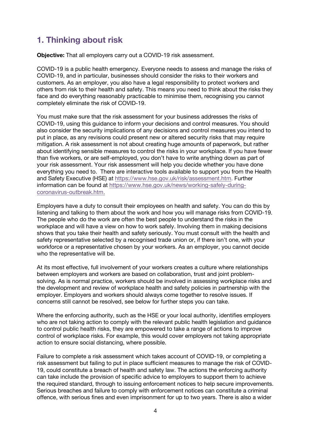# **1. Thinking about risk**

**Objective:** That all employers carry out a COVID-19 risk assessment.

COVID-19 is a public health emergency. Everyone needs to assess and manage the risks of COVID-19, and in particular, businesses should consider the risks to their workers and customers. As an employer, you also have a legal responsibility to protect workers and others from risk to their health and safety. This means you need to think about the risks they face and do everything reasonably practicable to minimise them, recognising you cannot completely eliminate the risk of COVID-19.

You must make sure that the risk assessment for your business addresses the risks of COVID-19, using this guidance to inform your decisions and control measures. You should also consider the security implications of any decisions and control measures you intend to put in place, as any revisions could present new or altered security risks that may require mitigation. A risk assessment is not about creating huge amounts of paperwork, but rather about identifying sensible measures to control the risks in your workplace. If you have fewer than five workers, or are self-employed, you don't have to write anything down as part of your risk assessment. Your risk assessment will help you decide whether you have done everything you need to. There are interactive tools available to support you from the Health and Safety Executive (HSE) at https://www.hse.gov.uk/risk/assessment.htm. Further information can be found at https://www.hse.gov.uk/news/working-safely-duringcoronavirus-outbreak.htm.

Employers have a duty to consult their employees on health and safety. You can do this by listening and talking to them about the work and how you will manage risks from COVID-19. The people who do the work are often the best people to understand the risks in the workplace and will have a view on how to work safely. Involving them in making decisions shows that you take their health and safety seriously. You must consult with the health and safety representative selected by a recognised trade union or, if there isn't one, with your workforce or a representative chosen by your workers. As an employer, you cannot decide who the representative will be.

At its most effective, full involvement of your workers creates a culture where relationships between employers and workers are based on collaboration, trust and joint problemsolving. As is normal practice, workers should be involved in assessing workplace risks and the development and review of workplace health and safety policies in partnership with the employer. Employers and workers should always come together to resolve issues. If concerns still cannot be resolved, see below for further steps you can take.

Where the enforcing authority, such as the HSE or your local authority, identifies employers who are not taking action to comply with the relevant public health legislation and guidance to control public health risks, they are empowered to take a range of actions to improve control of workplace risks. For example, this would cover employers not taking appropriate action to ensure social distancing, where possible.

Failure to complete a risk assessment which takes account of COVID-19, or completing a risk assessment but failing to put in place sufficient measures to manage the risk of COVID-19, could constitute a breach of health and safety law. The actions the enforcing authority can take include the provision of specific advice to employers to support them to achieve the required standard, through to issuing enforcement notices to help secure improvements. Serious breaches and failure to comply with enforcement notices can constitute a criminal offence, with serious fines and even imprisonment for up to two years. There is also a wider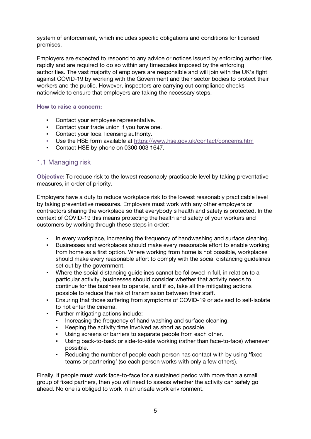system of enforcement, which includes specific obligations and conditions for licensed premises.

Employers are expected to respond to any advice or notices issued by enforcing authorities rapidly and are required to do so within any timescales imposed by the enforcing authorities. The vast majority of employers are responsible and will join with the UK's fight against COVID-19 by working with the Government and their sector bodies to protect their workers and the public. However, inspectors are carrying out compliance checks nationwide to ensure that employers are taking the necessary steps.

#### **How to raise a concern:**

- Contact your employee representative.
- Contact your trade union if you have one.
- Contact your local licensing authority.
- Use the HSE form available at https://www.hse.gov.uk/contact/concerns.htm
- Contact HSE by phone on 0300 003 1647.

# 1.1 Managing risk

**Objective:** To reduce risk to the lowest reasonably practicable level by taking preventative measures, in order of priority.

Employers have a duty to reduce workplace risk to the lowest reasonably practicable level by taking preventative measures. Employers must work with any other employers or contractors sharing the workplace so that everybody's health and safety is protected. In the context of COVID-19 this means protecting the health and safety of your workers and customers by working through these steps in order:

- In every workplace, increasing the frequency of handwashing and surface cleaning.
- Businesses and workplaces should make every reasonable effort to enable working from home as a first option. Where working from home is not possible, workplaces should make every reasonable effort to comply with the social distancing guidelines set out by the government.
- Where the social distancing guidelines cannot be followed in full, in relation to a particular activity, businesses should consider whether that activity needs to continue for the business to operate, and if so, take all the mitigating actions possible to reduce the risk of transmission between their staff.
- Ensuring that those suffering from symptoms of COVID-19 or advised to self-isolate to not enter the cinema.
- Further mitigating actions include:
	- Increasing the frequency of hand washing and surface cleaning.
	- Keeping the activity time involved as short as possible.
	- Using screens or barriers to separate people from each other.
	- Using back-to-back or side-to-side working (rather than face-to-face) whenever possible.
	- Reducing the number of people each person has contact with by using 'fixed teams or partnering' (so each person works with only a few others).

Finally, if people must work face-to-face for a sustained period with more than a small group of fixed partners, then you will need to assess whether the activity can safely go ahead. No one is obliged to work in an unsafe work environment.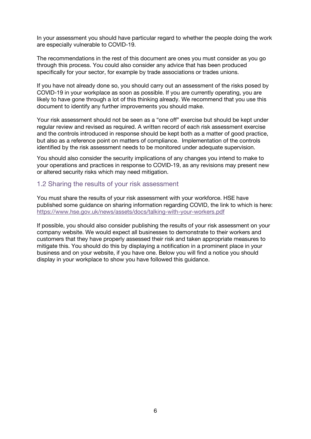In your assessment you should have particular regard to whether the people doing the work are especially vulnerable to COVID-19.

The recommendations in the rest of this document are ones you must consider as you go through this process. You could also consider any advice that has been produced specifically for your sector, for example by trade associations or trades unions.

If you have not already done so, you should carry out an assessment of the risks posed by COVID-19 in your workplace as soon as possible. If you are currently operating, you are likely to have gone through a lot of this thinking already. We recommend that you use this document to identify any further improvements you should make.

Your risk assessment should not be seen as a "one off" exercise but should be kept under regular review and revised as required. A written record of each risk assessment exercise and the controls introduced in response should be kept both as a matter of good practice, but also as a reference point on matters of compliance. Implementation of the controls identified by the risk assessment needs to be monitored under adequate supervision.

You should also consider the security implications of any changes you intend to make to your operations and practices in response to COVID-19, as any revisions may present new or altered security risks which may need mitigation.

#### 1.2 Sharing the results of your risk assessment

You must share the results of your risk assessment with your workforce. HSE have published some guidance on sharing information regarding COVID, the link to which is here: https://www.hse.gov.uk/news/assets/docs/talking-with-your-workers.pdf

If possible, you should also consider publishing the results of your risk assessment on your company website. We would expect all businesses to demonstrate to their workers and customers that they have properly assessed their risk and taken appropriate measures to mitigate this. You should do this by displaying a notification in a prominent place in your business and on your website, if you have one. Below you will find a notice you should display in your workplace to show you have followed this guidance.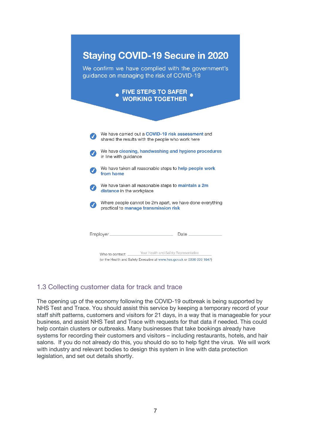

# 1.3 Collecting customer data for track and trace

The opening up of the economy following the COVID-19 outbreak is being supported by NHS Test and Trace. You should assist this service by keeping a temporary record of your staff shift patterns, customers and visitors for 21 days, in a way that is manageable for your business, and assist NHS Test and Trace with requests for that data if needed. This could help contain clusters or outbreaks. Many businesses that take bookings already have systems for recording their customers and visitors – including restaurants, hotels, and hair salons. If you do not already do this, you should do so to help fight the virus. We will work with industry and relevant bodies to design this system in line with data protection legislation, and set out details shortly.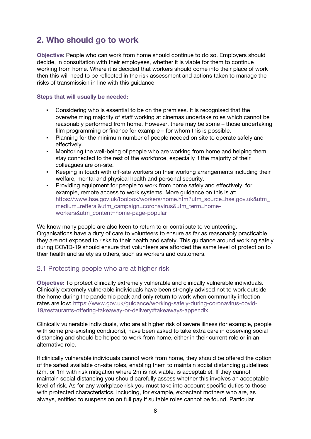# **2. Who should go to work**

**Objective:** People who can work from home should continue to do so. Employers should decide, in consultation with their employees, whether it is viable for them to continue working from home. Where it is decided that workers should come into their place of work then this will need to be reflected in the risk assessment and actions taken to manage the risks of transmission in line with this guidance

#### **Steps that will usually be needed:**

- Considering who is essential to be on the premises. It is recognised that the overwhelming majority of staff working at cinemas undertake roles which cannot be reasonably performed from home. However, there may be some – those undertaking film programming or finance for example – for whom this is possible.
- Planning for the minimum number of people needed on site to operate safely and effectively.
- Monitoring the well-being of people who are working from home and helping them stay connected to the rest of the workforce, especially if the majority of their colleagues are on-site.
- Keeping in touch with off-site workers on their working arrangements including their welfare, mental and physical health and personal security.
- Providing equipment for people to work from home safely and effectively, for example, remote access to work systems. More guidance on this is at: https://www.hse.gov.uk/toolbox/workers/home.htm?utm\_source=hse.gov.uk&utm\_ medium=refferal&utm\_campaign=coronavirus&utm\_term=homeworkers&utm\_content=home-page-popular

We know many people are also keen to return to or contribute to volunteering. Organisations have a duty of care to volunteers to ensure as far as reasonably practicable they are not exposed to risks to their health and safety. This guidance around working safely during COVID-19 should ensure that volunteers are afforded the same level of protection to their health and safety as others, such as workers and customers.

# 2.1 Protecting people who are at higher risk

**Objective:** To protect clinically extremely vulnerable and clinically vulnerable individuals. Clinically extremely vulnerable individuals have been strongly advised not to work outside the home during the pandemic peak and only return to work when community infection rates are low: https://www.gov.uk/guidance/working-safely-during-coronavirus-covid-19/restaurants-offering-takeaway-or-delivery#takeaways-appendix

Clinically vulnerable individuals, who are at higher risk of severe illness (for example, people with some pre-existing conditions), have been asked to take extra care in observing social distancing and should be helped to work from home, either in their current role or in an alternative role.

If clinically vulnerable individuals cannot work from home, they should be offered the option of the safest available on-site roles, enabling them to maintain social distancing guidelines (2m, or 1m with risk mitigation where 2m is not viable, is acceptable). If they cannot maintain social distancing you should carefully assess whether this involves an acceptable level of risk. As for any workplace risk you must take into account specific duties to those with protected characteristics, including, for example, expectant mothers who are, as always, entitled to suspension on full pay if suitable roles cannot be found. Particular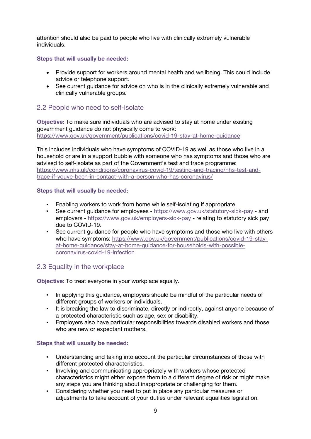attention should also be paid to people who live with clinically extremely vulnerable individuals.

**Steps that will usually be needed:**

- Provide support for workers around mental health and wellbeing. This could include advice or telephone support.
- See current quidance for advice on who is in the clinically extremely vulnerable and clinically vulnerable groups.

# 2.2 People who need to self-isolate

**Objective:** To make sure individuals who are advised to stay at home under existing government guidance do not physically come to work: https://www.gov.uk/government/publications/covid-19-stay-at-home-guidance

This includes individuals who have symptoms of COVID-19 as well as those who live in a household or are in a support bubble with someone who has symptoms and those who are advised to self-isolate as part of the Government's test and trace programme: https://www.nhs.uk/conditions/coronavirus-covid-19/testing-and-tracing/nhs-test-andtrace-if-youve-been-in-contact-with-a-person-who-has-coronavirus/

#### **Steps that will usually be needed:**

- Enabling workers to work from home while self-isolating if appropriate.
- See current guidance for employees https://www.gov.uk/statutory-sick-pay and employers - https://www.gov.uk/employers-sick-pay - relating to statutory sick pay due to COVID-19.
- See current guidance for people who have symptoms and those who live with others who have symptoms: https://www.gov.uk/government/publications/covid-19-stayat-home-guidance/stay-at-home-guidance-for-households-with-possiblecoronavirus-covid-19-infection

# 2.3 Equality in the workplace

**Objective:** To treat everyone in your workplace equally.

- In applying this guidance, employers should be mindful of the particular needs of different groups of workers or individuals.
- It is breaking the law to discriminate, directly or indirectly, against anyone because of a protected characteristic such as age, sex or disability.
- Employers also have particular responsibilities towards disabled workers and those who are new or expectant mothers.

- Understanding and taking into account the particular circumstances of those with different protected characteristics.
- Involving and communicating appropriately with workers whose protected characteristics might either expose them to a different degree of risk or might make any steps you are thinking about inappropriate or challenging for them.
- Considering whether you need to put in place any particular measures or adjustments to take account of your duties under relevant equalities legislation.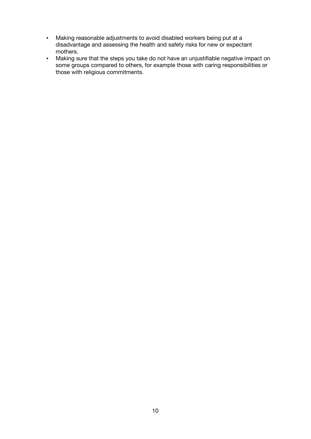- Making reasonable adjustments to avoid disabled workers being put at a disadvantage and assessing the health and safety risks for new or expectant mothers.
- Making sure that the steps you take do not have an unjustifiable negative impact on some groups compared to others, for example those with caring responsibilities or those with religious commitments.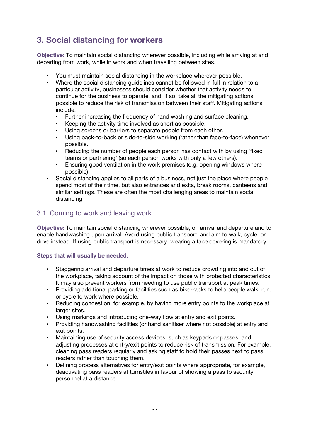# **3. Social distancing for workers**

**Objective:** To maintain social distancing wherever possible, including while arriving at and departing from work, while in work and when travelling between sites.

- You must maintain social distancing in the workplace wherever possible.
- Where the social distancing guidelines cannot be followed in full in relation to a particular activity, businesses should consider whether that activity needs to continue for the business to operate, and, if so, take all the mitigating actions possible to reduce the risk of transmission between their staff. Mitigating actions include:
	- Further increasing the frequency of hand washing and surface cleaning.
	- Keeping the activity time involved as short as possible.
	- Using screens or barriers to separate people from each other.
	- Using back-to-back or side-to-side working (rather than face-to-face) whenever possible.
	- Reducing the number of people each person has contact with by using 'fixed teams or partnering' (so each person works with only a few others).
	- **Ensuring good ventilation in the work premises (e.g. opening windows where** possible).
- Social distancing applies to all parts of a business, not just the place where people spend most of their time, but also entrances and exits, break rooms, canteens and similar settings. These are often the most challenging areas to maintain social distancing

### 3.1 Coming to work and leaving work

**Objective:** To maintain social distancing wherever possible, on arrival and departure and to enable handwashing upon arrival. Avoid using public transport, and aim to walk, cycle, or drive instead. If using public transport is necessary, wearing a face covering is mandatory.

- Staggering arrival and departure times at work to reduce crowding into and out of the workplace, taking account of the impact on those with protected characteristics. It may also prevent workers from needing to use public transport at peak times.
- Providing additional parking or facilities such as bike-racks to help people walk, run, or cycle to work where possible.
- Reducing congestion, for example, by having more entry points to the workplace at larger sites.
- Using markings and introducing one-way flow at entry and exit points.
- Providing handwashing facilities (or hand sanitiser where not possible) at entry and exit points.
- Maintaining use of security access devices, such as keypads or passes, and adjusting processes at entry/exit points to reduce risk of transmission. For example, cleaning pass readers regularly and asking staff to hold their passes next to pass readers rather than touching them.
- Defining process alternatives for entry/exit points where appropriate, for example, deactivating pass readers at turnstiles in favour of showing a pass to security personnel at a distance.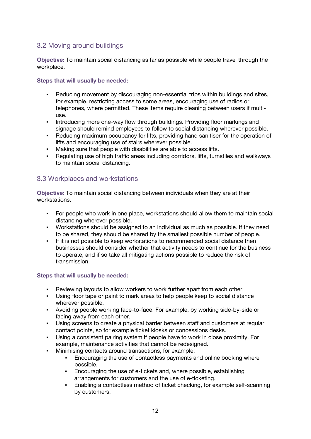# 3.2 Moving around buildings

**Objective:** To maintain social distancing as far as possible while people travel through the workplace.

#### **Steps that will usually be needed:**

- Reducing movement by discouraging non-essential trips within buildings and sites, for example, restricting access to some areas, encouraging use of radios or telephones, where permitted. These items require cleaning between users if multiuse.
- **•** Introducing more one-way flow through buildings. Providing floor markings and signage should remind employees to follow to social distancing wherever possible.
- Reducing maximum occupancy for lifts, providing hand sanitiser for the operation of lifts and encouraging use of stairs wherever possible.
- Making sure that people with disabilities are able to access lifts.
- Regulating use of high traffic areas including corridors, lifts, turnstiles and walkways to maintain social distancing.

# 3.3 Workplaces and workstations

**Objective:** To maintain social distancing between individuals when they are at their workstations.

- For people who work in one place, workstations should allow them to maintain social distancing wherever possible.
- Workstations should be assigned to an individual as much as possible. If they need to be shared, they should be shared by the smallest possible number of people.
- If it is not possible to keep workstations to recommended social distance then businesses should consider whether that activity needs to continue for the business to operate, and if so take all mitigating actions possible to reduce the risk of transmission.

- Reviewing layouts to allow workers to work further apart from each other.
- Using floor tape or paint to mark areas to help people keep to social distance wherever possible.
- Avoiding people working face-to-face. For example, by working side-by-side or facing away from each other.
- Using screens to create a physical barrier between staff and customers at regular contact points, so for example ticket kiosks or concessions desks.
- Using a consistent pairing system if people have to work in close proximity. For example, maintenance activities that cannot be redesigned.
- Minimising contacts around transactions, for example:
	- Encouraging the use of contactless payments and online booking where possible.
	- **Encouraging the use of e-tickets and, where possible, establishing** arrangements for customers and the use of e-ticketing.
	- Enabling a contactless method of ticket checking, for example self-scanning by customers.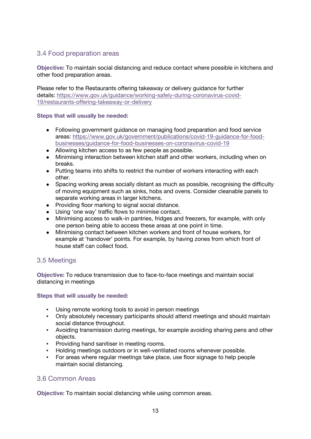# 3.4 Food preparation areas

**Objective:** To maintain social distancing and reduce contact where possible in kitchens and other food preparation areas.

Please refer to the Restaurants offering takeaway or delivery guidance for further details: https://www.gov.uk/guidance/working-safely-during-coronavirus-covid-19/restaurants-offering-takeaway-or-delivery

#### **Steps that will usually be needed:**

- Following government guidance on managing food preparation and food service areas: https://www.gov.uk/government/publications/covid-19-guidance-for-foodbusinesses/guidance-for-food-businesses-on-coronavirus-covid-19
- Allowing kitchen access to as few people as possible.
- Minimising interaction between kitchen staff and other workers, including when on breaks.
- Putting teams into shifts to restrict the number of workers interacting with each other.
- Spacing working areas socially distant as much as possible, recognising the difficulty of moving equipment such as sinks, hobs and ovens. Consider cleanable panels to separate working areas in larger kitchens.
- Providing floor marking to signal social distance.
- Using 'one way' traffic flows to minimise contact.
- Minimising access to walk-in pantries, fridges and freezers, for example, with only one person being able to access these areas at one point in time.
- Minimising contact between kitchen workers and front of house workers, for example at 'handover' points. For example, by having zones from which front of house staff can collect food.

# 3.5 Meetings

**Objective:** To reduce transmission due to face-to-face meetings and maintain social distancing in meetings

#### **Steps that will usually be needed:**

- Using remote working tools to avoid in person meetings
- Only absolutely necessary participants should attend meetings and should maintain social distance throughout.
- Avoiding transmission during meetings, for example avoiding sharing pens and other objects.
- **Providing hand sanitiser in meeting rooms.**
- Holding meetings outdoors or in well-ventilated rooms whenever possible.
- For areas where regular meetings take place, use floor signage to help people maintain social distancing.

# 3.6 Common Areas

**Objective:** To maintain social distancing while using common areas.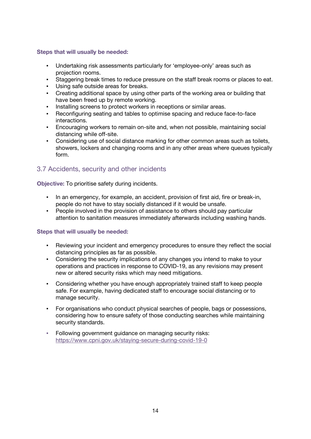#### **Steps that will usually be needed:**

- Undertaking risk assessments particularly for 'employee-only' areas such as projection rooms.
- Staggering break times to reduce pressure on the staff break rooms or places to eat.
- Using safe outside areas for breaks.
- Creating additional space by using other parts of the working area or building that have been freed up by remote working.
- **Installing screens to protect workers in receptions or similar areas.**
- Reconfiguring seating and tables to optimise spacing and reduce face-to-face interactions.
- **Encouraging workers to remain on-site and, when not possible, maintaining social** distancing while off-site.
- Considering use of social distance marking for other common areas such as toilets, showers, lockers and changing rooms and in any other areas where queues typically form.

# 3.7 Accidents, security and other incidents

**Objective:** To prioritise safety during incidents.

- In an emergency, for example, an accident, provision of first aid, fire or break-in, people do not have to stay socially distanced if it would be unsafe.
- People involved in the provision of assistance to others should pay particular attention to sanitation measures immediately afterwards including washing hands.

- Reviewing your incident and emergency procedures to ensure they reflect the social distancing principles as far as possible.
- Considering the security implications of any changes you intend to make to your operations and practices in response to COVID-19, as any revisions may present new or altered security risks which may need mitigations.
- Considering whether you have enough appropriately trained staff to keep people safe. For example, having dedicated staff to encourage social distancing or to manage security.
- For organisations who conduct physical searches of people, bags or possessions, considering how to ensure safety of those conducting searches while maintaining security standards.
- Following government guidance on managing security risks: https://www.cpni.gov.uk/staying-secure-during-covid-19-0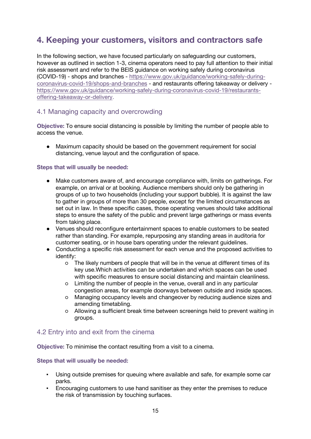# **4. Keeping your customers, visitors and contractors safe**

In the following section, we have focused particularly on safeguarding our customers, however as outlined in section 1-3, cinema operators need to pay full attention to their initial risk assessment and refer to the BEIS guidance on working safely during coronavirus (COVID-19) - shops and branches - https://www.gov.uk/guidance/working-safely-duringcoronavirus-covid-19/shops-and-branches - and restaurants offering takeaway or delivery https://www.gov.uk/guidance/working-safely-during-coronavirus-covid-19/restaurantsoffering-takeaway-or-delivery.

### 4.1 Managing capacity and overcrowding

**Objective:** To ensure social distancing is possible by limiting the number of people able to access the venue.

● Maximum capacity should be based on the government requirement for social distancing, venue layout and the configuration of space.

#### **Steps that will usually be needed:**

- Make customers aware of, and encourage compliance with, limits on gatherings. For example, on arrival or at booking. Audience members should only be gathering in groups of up to two households (including your support bubble). It is against the law to gather in groups of more than 30 people, except for the limited circumstances as set out in law. In these specific cases, those operating venues should take additional steps to ensure the safety of the public and prevent large gatherings or mass events from taking place.
- Venues should reconfigure entertainment spaces to enable customers to be seated rather than standing. For example, repurposing any standing areas in auditoria for customer seating, or in house bars operating under the relevant guidelines.
- Conducting a specific risk assessment for each venue and the proposed activities to identify:
	- The likely numbers of people that will be in the venue at different times of its key use.Which activities can be undertaken and which spaces can be used with specific measures to ensure social distancing and maintain cleanliness.
	- Limiting the number of people in the venue, overall and in any particular congestion areas, for example doorways between outside and inside spaces.
	- Managing occupancy levels and changeover by reducing audience sizes and amending timetabling.
	- Allowing a sufficient break time between screenings held to prevent waiting in groups.

# 4.2 Entry into and exit from the cinema

**Objective:** To minimise the contact resulting from a visit to a cinema.

- Using outside premises for queuing where available and safe, for example some car parks.
- Encouraging customers to use hand sanitiser as they enter the premises to reduce the risk of transmission by touching surfaces.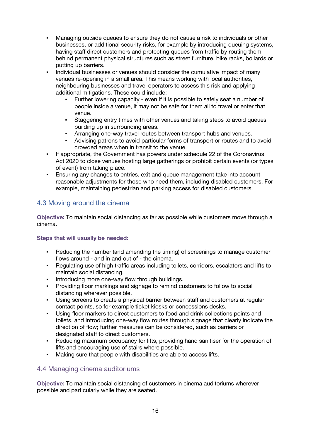- Managing outside queues to ensure they do not cause a risk to individuals or other businesses, or additional security risks, for example by introducing queuing systems, having staff direct customers and protecting queues from traffic by routing them behind permanent physical structures such as street furniture, bike racks, bollards or putting up barriers.
- Individual businesses or venues should consider the cumulative impact of many venues re-opening in a small area. This means working with local authorities, neighbouring businesses and travel operators to assess this risk and applying additional mitigations. These could include:
	- Further lowering capacity even if it is possible to safely seat a number of people inside a venue, it may not be safe for them all to travel or enter that venue.
	- Staggering entry times with other venues and taking steps to avoid queues building up in surrounding areas.
	- **EXECT:** Arranging one-way travel routes between transport hubs and venues.
	- Advising patrons to avoid particular forms of transport or routes and to avoid crowded areas when in transit to the venue.
- If appropriate, the Government has powers under schedule 22 of the Coronavirus Act 2020 to close venues hosting large gatherings or prohibit certain events (or types of event) from taking place.
- Ensuring any changes to entries, exit and queue management take into account reasonable adjustments for those who need them, including disabled customers. For example, maintaining pedestrian and parking access for disabled customers.

# 4.3 Moving around the cinema

**Objective:** To maintain social distancing as far as possible while customers move through a cinema.

#### **Steps that will usually be needed:**

- Reducing the number (and amending the timing) of screenings to manage customer flows around - and in and out of - the cinema.
- Regulating use of high traffic areas including toilets, corridors, escalators and lifts to maintain social distancing.
- **Introducing more one-way flow through buildings.**
- Providing floor markings and signage to remind customers to follow to social distancing wherever possible.
- Using screens to create a physical barrier between staff and customers at regular contact points, so for example ticket kiosks or concessions desks.
- Using floor markers to direct customers to food and drink collections points and toilets, and introducing one-way flow routes through signage that clearly indicate the direction of flow; further measures can be considered, such as barriers or designated staff to direct customers.
- Reducing maximum occupancy for lifts, providing hand sanitiser for the operation of lifts and encouraging use of stairs where possible.
- Making sure that people with disabilities are able to access lifts.

# 4.4 Managing cinema auditoriums

**Objective:** To maintain social distancing of customers in cinema auditoriums wherever possible and particularly while they are seated.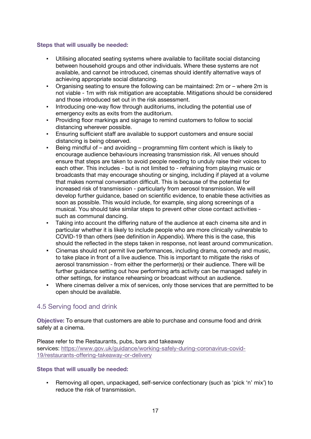#### **Steps that will usually be needed:**

- Utilising allocated seating systems where available to facilitate social distancing between household groups and other individuals. Where these systems are not available, and cannot be introduced, cinemas should identify alternative ways of achieving appropriate social distancing.
- Organising seating to ensure the following can be maintained: 2m or where 2m is not viable - 1m with risk mitigation are acceptable. Mitigations should be considered and those introduced set out in the risk assessment.
- Introducing one-way flow through auditoriums, including the potential use of emergency exits as exits from the auditorium.
- Providing floor markings and signage to remind customers to follow to social distancing wherever possible.
- **Ensuring sufficient staff are available to support customers and ensure social** distancing is being observed.
- Being mindful of and avoiding programming film content which is likely to encourage audience behaviours increasing transmission risk. All venues should ensure that steps are taken to avoid people needing to unduly raise their voices to each other. This includes - but is not limited to - refraining from playing music or broadcasts that may encourage shouting or singing, including if played at a volume that makes normal conversation difficult. This is because of the potential for increased risk of transmission - particularly from aerosol transmission. We will develop further guidance, based on scientific evidence, to enable these activities as soon as possible. This would include, for example, sing along screenings of a musical. You should take similar steps to prevent other close contact activities such as communal dancing.
- Taking into account the differing nature of the audience at each cinema site and in particular whether it is likely to include people who are more clinically vulnerable to COVID-19 than others (see definition in Appendix). Where this is the case, this should the reflected in the steps taken in response, not least around communication.
- Cinemas should not permit live performances, including drama, comedy and music, to take place in front of a live audience. This is important to mitigate the risks of aerosol transmission - from either the performer(s) or their audience. There will be further guidance setting out how performing arts activity can be managed safely in other settings, for instance rehearsing or broadcast without an audience.
- Where cinemas deliver a mix of services, only those services that are permitted to be open should be available.

# 4.5 Serving food and drink

**Objective:** To ensure that customers are able to purchase and consume food and drink safely at a cinema.

Please refer to the Restaurants, pubs, bars and takeaway services: https://www.gov.uk/guidance/working-safely-during-coronavirus-covid-19/restaurants-offering-takeaway-or-delivery

#### **Steps that will usually be needed:**

▪ Removing all open, unpackaged, self-service confectionary (such as 'pick 'n' mix') to reduce the risk of transmission.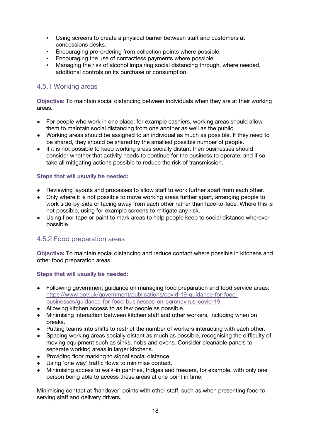- Using screens to create a physical barrier between staff and customers at concessions desks.
- Encouraging pre-ordering from collection points where possible.
- Encouraging the use of contactless payments where possible.
- Managing the risk of alcohol impairing social distancing through, where needed, additional controls on its purchase or consumption.

# 4.5.1 Working areas

**Objective:** To maintain social distancing between individuals when they are at their working areas.

- For people who work in one place, for example cashiers, working areas should allow them to maintain social distancing from one another as well as the public.
- Working areas should be assigned to an individual as much as possible. If they need to be shared, they should be shared by the smallest possible number of people.
- If it is not possible to keep working areas socially distant then businesses should consider whether that activity needs to continue for the business to operate, and if so take all mitigating actions possible to reduce the risk of transmission.

#### **Steps that will usually be needed:**

- Reviewing layouts and processes to allow staff to work further apart from each other.
- Only where it is not possible to move working areas further apart, arranging people to work side-by-side or facing away from each other rather than face-to-face. Where this is not possible, using for example screens to mitigate any risk.
- Using floor tape or paint to mark areas to help people keep to social distance wherever possible.

#### 4.5.2 Food preparation areas

**Objective:** To maintain social distancing and reduce contact where possible in kitchens and other food preparation areas.

#### **Steps that will usually be needed:**

- Following government guidance on managing food preparation and food service areas: https://www.gov.uk/government/publications/covid-19-guidance-for-foodbusinesses/guidance-for-food-businesses-on-coronavirus-covid-19
- Allowing kitchen access to as few people as possible.
- Minimising interaction between kitchen staff and other workers, including when on breaks.
- Putting teams into shifts to restrict the number of workers interacting with each other.
- Spacing working areas socially distant as much as possible, recognising the difficulty of moving equipment such as sinks, hobs and ovens. Consider cleanable panels to separate working areas in larger kitchens.
- Providing floor marking to signal social distance.
- Using 'one way' traffic flows to minimise contact.
- Minimising access to walk-in pantries, fridges and freezers, for example, with only one person being able to access these areas at one point in time.

Minimising contact at 'handover' points with other staff, such as when presenting food to serving staff and delivery drivers.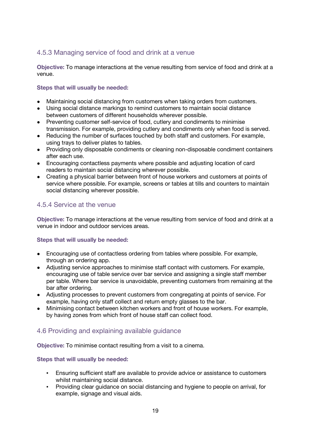# 4.5.3 Managing service of food and drink at a venue

**Objective:** To manage interactions at the venue resulting from service of food and drink at a venue.

#### **Steps that will usually be needed:**

- Maintaining social distancing from customers when taking orders from customers.
- Using social distance markings to remind customers to maintain social distance between customers of different households wherever possible.
- Preventing customer self-service of food, cutlery and condiments to minimise transmission. For example, providing cutlery and condiments only when food is served.
- Reducing the number of surfaces touched by both staff and customers. For example, using trays to deliver plates to tables.
- Providing only disposable condiments or cleaning non-disposable condiment containers after each use.
- Encouraging contactless payments where possible and adjusting location of card readers to maintain social distancing wherever possible.
- Creating a physical barrier between front of house workers and customers at points of service where possible. For example, screens or tables at tills and counters to maintain social distancing wherever possible.

# 4.5.4 Service at the venue

**Objective:** To manage interactions at the venue resulting from service of food and drink at a venue in indoor and outdoor services areas.

#### **Steps that will usually be needed:**

- Encouraging use of contactless ordering from tables where possible. For example, through an ordering app.
- Adjusting service approaches to minimise staff contact with customers. For example, encouraging use of table service over bar service and assigning a single staff member per table. Where bar service is unavoidable, preventing customers from remaining at the bar after ordering.
- Adjusting processes to prevent customers from congregating at points of service. For example, having only staff collect and return empty glasses to the bar.
- Minimising contact between kitchen workers and front of house workers. For example, by having zones from which front of house staff can collect food.

# 4.6 Providing and explaining available guidance

**Objective:** To minimise contact resulting from a visit to a cinema.

- Ensuring sufficient staff are available to provide advice or assistance to customers whilst maintaining social distance.
- Providing clear guidance on social distancing and hygiene to people on arrival, for example, signage and visual aids.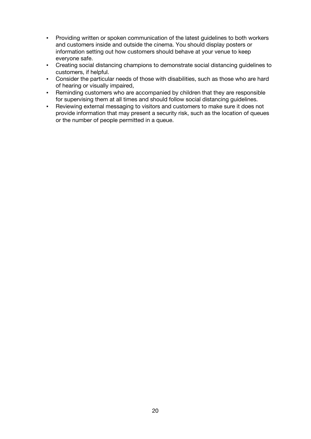- Providing written or spoken communication of the latest guidelines to both workers and customers inside and outside the cinema. You should display posters or information setting out how customers should behave at your venue to keep everyone safe.
- Creating social distancing champions to demonstrate social distancing guidelines to customers, if helpful.
- Consider the particular needs of those with disabilities, such as those who are hard of hearing or visually impaired,
- Reminding customers who are accompanied by children that they are responsible for supervising them at all times and should follow social distancing guidelines.
- Reviewing external messaging to visitors and customers to make sure it does not provide information that may present a security risk, such as the location of queues or the number of people permitted in a queue.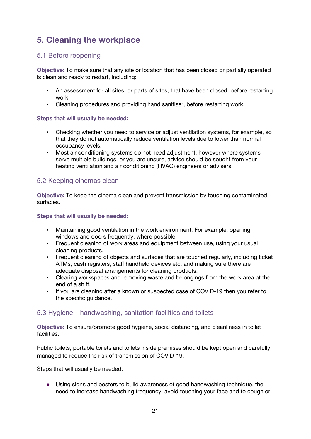# **5. Cleaning the workplace**

# 5.1 Before reopening

**Objective:** To make sure that any site or location that has been closed or partially operated is clean and ready to restart, including:

- An assessment for all sites, or parts of sites, that have been closed, before restarting work.
- Cleaning procedures and providing hand sanitiser, before restarting work.

#### **Steps that will usually be needed:**

- Checking whether you need to service or adjust ventilation systems, for example, so that they do not automatically reduce ventilation levels due to lower than normal occupancy levels.
- Most air conditioning systems do not need adjustment, however where systems serve multiple buildings, or you are unsure, advice should be sought from your heating ventilation and air conditioning (HVAC) engineers or advisers.

# 5.2 Keeping cinemas clean

**Objective:** To keep the cinema clean and prevent transmission by touching contaminated surfaces.

#### **Steps that will usually be needed:**

- Maintaining good ventilation in the work environment. For example, opening windows and doors frequently, where possible.
- **•** Frequent cleaning of work areas and equipment between use, using your usual cleaning products.
- Frequent cleaning of objects and surfaces that are touched regularly, including ticket ATMs, cash registers, staff handheld devices etc, and making sure there are adequate disposal arrangements for cleaning products.
- Clearing workspaces and removing waste and belongings from the work area at the end of a shift.
- If you are cleaning after a known or suspected case of COVID-19 then you refer to the specific guidance.

# 5.3 Hygiene – handwashing, sanitation facilities and toilets

**Objective:** To ensure/promote good hygiene, social distancing, and cleanliness in toilet facilities.

Public toilets, portable toilets and toilets inside premises should be kept open and carefully managed to reduce the risk of transmission of COVID-19.

Steps that will usually be needed:

Using signs and posters to build awareness of good handwashing technique, the need to increase handwashing frequency, avoid touching your face and to cough or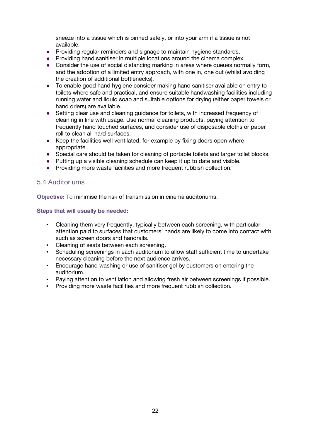sneeze into a tissue which is binned safely, or into your arm if a tissue is not available.

- Providing regular reminders and signage to maintain hygiene standards.
- Providing hand sanitiser in multiple locations around the cinema complex.
- Consider the use of social distancing marking in areas where queues normally form, and the adoption of a limited entry approach, with one in, one out (whilst avoiding the creation of additional bottlenecks).
- To enable good hand hygiene consider making hand sanitiser available on entry to toilets where safe and practical, and ensure suitable handwashing facilities including running water and liquid soap and suitable options for drying (either paper towels or hand driers) are available.
- Setting clear use and cleaning guidance for toilets, with increased frequency of cleaning in line with usage. Use normal cleaning products, paying attention to frequently hand touched surfaces, and consider use of disposable cloths or paper roll to clean all hard surfaces.
- Keep the facilities well ventilated, for example by fixing doors open where appropriate.
- Special care should be taken for cleaning of portable toilets and larger toilet blocks.
- Putting up a visible cleaning schedule can keep it up to date and visible.
- Providing more waste facilities and more frequent rubbish collection.

### 5.4 Auditoriums

**Objective:** To minimise the risk of transmission in cinema auditoriums.

- Cleaning them very frequently, typically between each screening, with particular attention paid to surfaces that customers' hands are likely to come into contact with such as screen doors and handrails.
- Cleaning of seats between each screening.
- Scheduling screenings in each auditorium to allow staff sufficient time to undertake necessary cleaning before the next audience arrives.
- **Encourage hand washing or use of sanitiser gel by customers on entering the** auditorium.
- Paying attention to ventilation and allowing fresh air between screenings if possible.
- Providing more waste facilities and more frequent rubbish collection.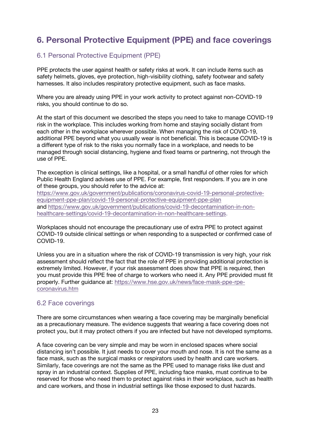# **6. Personal Protective Equipment (PPE) and face coverings**

# 6.1 Personal Protective Equipment (PPE)

PPE protects the user against health or safety risks at work. It can include items such as safety helmets, gloves, eye protection, high-visibility clothing, safety footwear and safety harnesses. It also includes respiratory protective equipment, such as face masks.

Where you are already using PPE in your work activity to protect against non-COVID-19 risks, you should continue to do so.

At the start of this document we described the steps you need to take to manage COVID-19 risk in the workplace. This includes working from home and staying socially distant from each other in the workplace wherever possible. When managing the risk of COVID-19, additional PPE beyond what you usually wear is not beneficial. This is because COVID-19 is a different type of risk to the risks you normally face in a workplace, and needs to be managed through social distancing, hygiene and fixed teams or partnering, not through the use of PPE.

The exception is clinical settings, like a hospital, or a small handful of other roles for which Public Health England advises use of PPE. For example, first responders. If you are in one of these groups, you should refer to the advice at:

https://www.gov.uk/government/publications/coronavirus-covid-19-personal-protectiveequipment-ppe-plan/covid-19-personal-protective-equipment-ppe-plan and https://www.gov.uk/government/publications/covid-19-decontamination-in-nonhealthcare-settings/covid-19-decontamination-in-non-healthcare-settings.

Workplaces should not encourage the precautionary use of extra PPE to protect against COVID-19 outside clinical settings or when responding to a suspected or confirmed case of COVID-19.

Unless you are in a situation where the risk of COVID-19 transmission is very high, your risk assessment should reflect the fact that the role of PPE in providing additional protection is extremely limited. However, if your risk assessment does show that PPE is required, then you must provide this PPE free of charge to workers who need it. Any PPE provided must fit properly. Further guidance at: https://www.hse.gov.uk/news/face-mask-ppe-rpecoronavirus.htm

# 6.2 Face coverings

There are some circumstances when wearing a face covering may be marginally beneficial as a precautionary measure. The evidence suggests that wearing a face covering does not protect you, but it may protect others if you are infected but have not developed symptoms.

A face covering can be very simple and may be worn in enclosed spaces where social distancing isn't possible. It just needs to cover your mouth and nose. It is not the same as a face mask, such as the surgical masks or respirators used by health and care workers. Similarly, face coverings are not the same as the PPE used to manage risks like dust and spray in an industrial context. Supplies of PPE, including face masks, must continue to be reserved for those who need them to protect against risks in their workplace, such as health and care workers, and those in industrial settings like those exposed to dust hazards.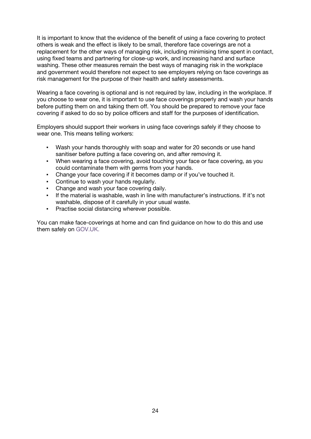It is important to know that the evidence of the benefit of using a face covering to protect others is weak and the effect is likely to be small, therefore face coverings are not a replacement for the other ways of managing risk, including minimising time spent in contact, using fixed teams and partnering for close-up work, and increasing hand and surface washing. These other measures remain the best ways of managing risk in the workplace and government would therefore not expect to see employers relying on face coverings as risk management for the purpose of their health and safety assessments.

Wearing a face covering is optional and is not required by law, including in the workplace. If you choose to wear one, it is important to use face coverings properly and wash your hands before putting them on and taking them off. You should be prepared to remove your face covering if asked to do so by police officers and staff for the purposes of identification.

Employers should support their workers in using face coverings safely if they choose to wear one. This means telling workers:

- Wash your hands thoroughly with soap and water for 20 seconds or use hand sanitiser before putting a face covering on, and after removing it.
- When wearing a face covering, avoid touching your face or face covering, as you could contaminate them with germs from your hands.
- Change your face covering if it becomes damp or if you've touched it.
- Continue to wash your hands regularly.
- Change and wash your face covering daily.
- If the material is washable, wash in line with manufacturer's instructions. If it's not washable, dispose of it carefully in your usual waste.
- **Practise social distancing wherever possible.**

You can make face-coverings at home and can find guidance on how to do this and use them safely on GOV.UK.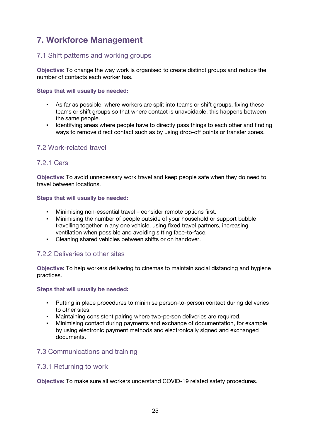# **7. Workforce Management**

# 7.1 Shift patterns and working groups

**Objective:** To change the way work is organised to create distinct groups and reduce the number of contacts each worker has.

#### **Steps that will usually be needed:**

- As far as possible, where workers are split into teams or shift groups, fixing these teams or shift groups so that where contact is unavoidable, this happens between the same people.
- Identifying areas where people have to directly pass things to each other and finding ways to remove direct contact such as by using drop-off points or transfer zones.

# 7.2 Work-related travel

### 7.2.1 Cars

**Objective:** To avoid unnecessary work travel and keep people safe when they do need to travel between locations.

#### **Steps that will usually be needed:**

- Minimising non-essential travel consider remote options first.
- Minimising the number of people outside of your household or support bubble travelling together in any one vehicle, using fixed travel partners, increasing ventilation when possible and avoiding sitting face-to-face.
- Cleaning shared vehicles between shifts or on handover.

# 7.2.2 Deliveries to other sites

**Objective:** To help workers delivering to cinemas to maintain social distancing and hygiene practices.

#### **Steps that will usually be needed:**

- Putting in place procedures to minimise person-to-person contact during deliveries to other sites.
- Maintaining consistent pairing where two-person deliveries are required.
- Minimising contact during payments and exchange of documentation, for example by using electronic payment methods and electronically signed and exchanged documents.

# 7.3 Communications and training

# 7.3.1 Returning to work

**Objective:** To make sure all workers understand COVID-19 related safety procedures.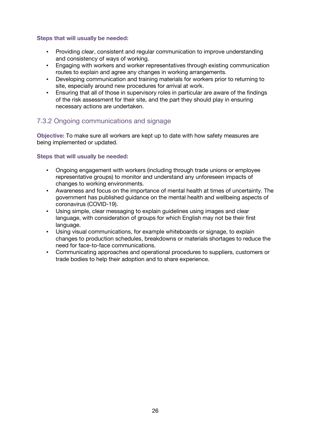#### **Steps that will usually be needed:**

- Providing clear, consistent and regular communication to improve understanding and consistency of ways of working.
- **Engaging with workers and worker representatives through existing communication** routes to explain and agree any changes in working arrangements.
- Developing communication and training materials for workers prior to returning to site, especially around new procedures for arrival at work.
- **Ensuring that all of those in supervisory roles in particular are aware of the findings** of the risk assessment for their site, and the part they should play in ensuring necessary actions are undertaken.

# 7.3.2 Ongoing communications and signage

**Objective:** To make sure all workers are kept up to date with how safety measures are being implemented or updated.

- Ongoing engagement with workers (including through trade unions or employee representative groups) to monitor and understand any unforeseen impacts of changes to working environments.
- Awareness and focus on the importance of mental health at times of uncertainty. The government has published guidance on the mental health and wellbeing aspects of coronavirus (COVID-19).
- Using simple, clear messaging to explain guidelines using images and clear language, with consideration of groups for which English may not be their first language.
- Using visual communications, for example whiteboards or signage, to explain changes to production schedules, breakdowns or materials shortages to reduce the need for face-to-face communications.
- Communicating approaches and operational procedures to suppliers, customers or trade bodies to help their adoption and to share experience.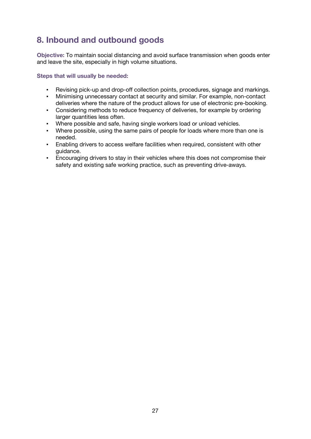# **8. Inbound and outbound goods**

**Objective:** To maintain social distancing and avoid surface transmission when goods enter and leave the site, especially in high volume situations.

- Revising pick-up and drop-off collection points, procedures, signage and markings.
- Minimising unnecessary contact at security and similar. For example, non-contact deliveries where the nature of the product allows for use of electronic pre-booking.
- Considering methods to reduce frequency of deliveries, for example by ordering larger quantities less often.
- Where possible and safe, having single workers load or unload vehicles.
- Where possible, using the same pairs of people for loads where more than one is needed.
- **Enabling drivers to access welfare facilities when required, consistent with other** guidance.
- **Encouraging drivers to stay in their vehicles where this does not compromise their** safety and existing safe working practice, such as preventing drive-aways.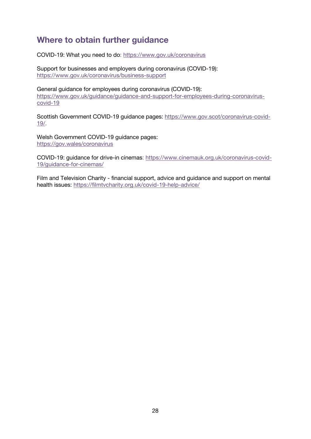# **Where to obtain further guidance**

COVID-19: What you need to do: https://www.gov.uk/coronavirus

Support for businesses and employers during coronavirus (COVID-19): https://www.gov.uk/coronavirus/business-support

General guidance for employees during coronavirus (COVID-19): https://www.gov.uk/guidance/guidance-and-support-for-employees-during-coronaviruscovid-19

Scottish Government COVID-19 guidance pages: https://www.gov.scot/coronavirus-covid-19/.

Welsh Government COVID-19 guidance pages: https://gov.wales/coronavirus

COVID-19: guidance for drive-in cinemas: https://www.cinemauk.org.uk/coronavirus-covid-19/guidance-for-cinemas/

Film and Television Charity - financial support, advice and guidance and support on mental health issues: https://filmtvcharity.org.uk/covid-19-help-advice/